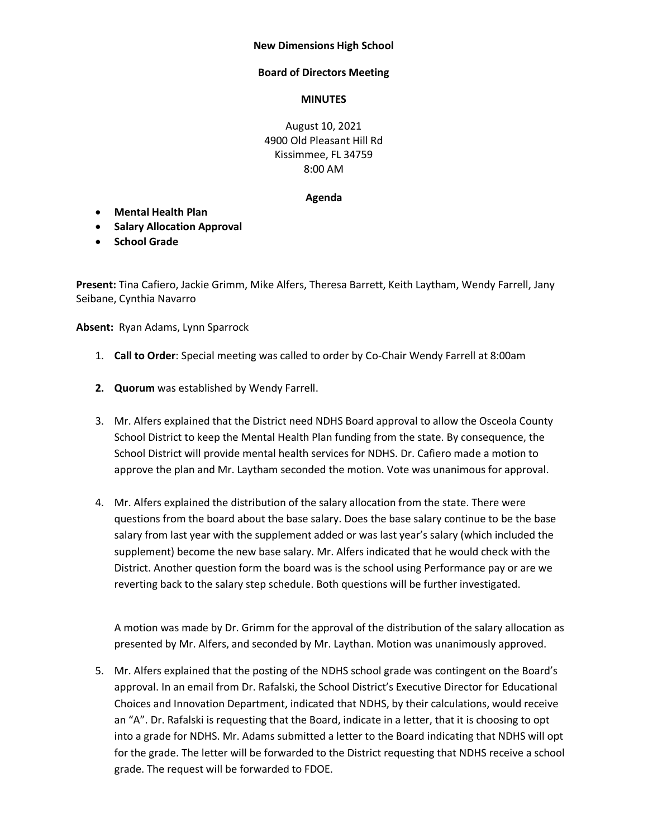## **New Dimensions High School**

## **Board of Directors Meeting**

## **MINUTES**

August 10, 2021 4900 Old Pleasant Hill Rd Kissimmee, FL 34759 8:00 AM

## **Agenda**

- **Mental Health Plan**
- **Salary Allocation Approval**
- **School Grade**

**Present:** Tina Cafiero, Jackie Grimm, Mike Alfers, Theresa Barrett, Keith Laytham, Wendy Farrell, Jany Seibane, Cynthia Navarro

**Absent:** Ryan Adams, Lynn Sparrock

- 1. **Call to Order**: Special meeting was called to order by Co-Chair Wendy Farrell at 8:00am
- **2. Quorum** was established by Wendy Farrell.
- 3. Mr. Alfers explained that the District need NDHS Board approval to allow the Osceola County School District to keep the Mental Health Plan funding from the state. By consequence, the School District will provide mental health services for NDHS. Dr. Cafiero made a motion to approve the plan and Mr. Laytham seconded the motion. Vote was unanimous for approval.
- 4. Mr. Alfers explained the distribution of the salary allocation from the state. There were questions from the board about the base salary. Does the base salary continue to be the base salary from last year with the supplement added or was last year's salary (which included the supplement) become the new base salary. Mr. Alfers indicated that he would check with the District. Another question form the board was is the school using Performance pay or are we reverting back to the salary step schedule. Both questions will be further investigated.

A motion was made by Dr. Grimm for the approval of the distribution of the salary allocation as presented by Mr. Alfers, and seconded by Mr. Laythan. Motion was unanimously approved.

5. Mr. Alfers explained that the posting of the NDHS school grade was contingent on the Board's approval. In an email from Dr. Rafalski, the School District's Executive Director for Educational Choices and Innovation Department, indicated that NDHS, by their calculations, would receive an "A". Dr. Rafalski is requesting that the Board, indicate in a letter, that it is choosing to opt into a grade for NDHS. Mr. Adams submitted a letter to the Board indicating that NDHS will opt for the grade. The letter will be forwarded to the District requesting that NDHS receive a school grade. The request will be forwarded to FDOE.